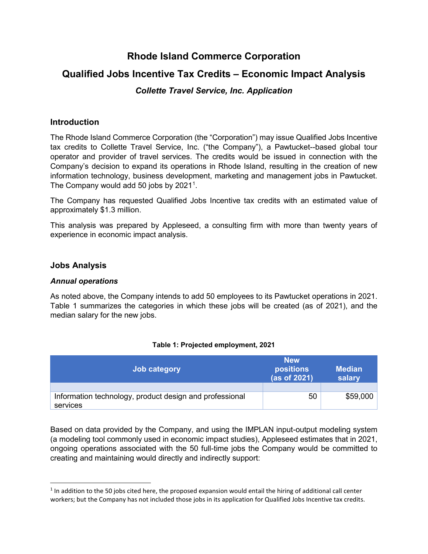# **Rhode Island Commerce Corporation**

# **Qualified Jobs Incentive Tax Credits – Economic Impact Analysis**

# *Collette Travel Service, Inc. Application*

## **Introduction**

The Rhode Island Commerce Corporation (the "Corporation") may issue Qualified Jobs Incentive tax credits to Collette Travel Service, Inc. ("the Company"), a Pawtucket--based global tour operator and provider of travel services. The credits would be issued in connection with the Company's decision to expand its operations in Rhode Island, resulting in the creation of new information technology, business development, marketing and management jobs in Pawtucket. The Company would add 50 jobs by 202[1](#page-0-0)<sup>1</sup>.

The Company has requested Qualified Jobs Incentive tax credits with an estimated value of approximately \$1.3 million.

This analysis was prepared by Appleseed, a consulting firm with more than twenty years of experience in economic impact analysis.

## **Jobs Analysis**

l

### *Annual operations*

As noted above, the Company intends to add 50 employees to its Pawtucket operations in 2021. Table 1 summarizes the categories in which these jobs will be created (as of 2021), and the median salary for the new jobs.

#### **Table 1: Projected employment, 2021**

| Job category                                                        | <b>New</b><br><b>positions</b><br>(as of 2021) | <b>Median</b><br>salary |
|---------------------------------------------------------------------|------------------------------------------------|-------------------------|
|                                                                     |                                                |                         |
| Information technology, product design and professional<br>services | 50                                             | \$59,000                |

Based on data provided by the Company, and using the IMPLAN input-output modeling system (a modeling tool commonly used in economic impact studies), Appleseed estimates that in 2021, ongoing operations associated with the 50 full-time jobs the Company would be committed to creating and maintaining would directly and indirectly support:

<span id="page-0-0"></span><sup>&</sup>lt;sup>1</sup> In addition to the 50 jobs cited here, the proposed expansion would entail the hiring of additional call center workers; but the Company has not included those jobs in its application for Qualified Jobs Incentive tax credits.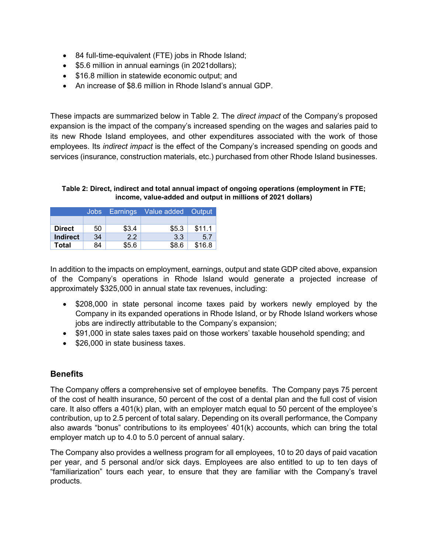- 84 full-time-equivalent (FTE) jobs in Rhode Island;
- \$5.6 million in annual earnings (in 2021 dollars);
- \$16.8 million in statewide economic output; and
- An increase of \$8.6 million in Rhode Island's annual GDP.

These impacts are summarized below in Table 2. The *direct impact* of the Company's proposed expansion is the impact of the company's increased spending on the wages and salaries paid to its new Rhode Island employees, and other expenditures associated with the work of those employees. Its *indirect impact* is the effect of the Company's increased spending on goods and services (insurance, construction materials, etc.) purchased from other Rhode Island businesses.

#### **Table 2: Direct, indirect and total annual impact of ongoing operations (employment in FTE; income, value-added and output in millions of 2021 dollars)**

|               | <b>Jobs</b> | Earnings | Value added Output |        |
|---------------|-------------|----------|--------------------|--------|
|               |             |          |                    |        |
| <b>Direct</b> | 50          | \$3.4    | \$5.3              | \$11.1 |
| Indirect      | 34          | 2.2      | 3.3                | 5.7    |
| Total         | 84          | \$5.6    | \$8.6              | \$16.8 |

In addition to the impacts on employment, earnings, output and state GDP cited above, expansion of the Company's operations in Rhode Island would generate a projected increase of approximately \$325,000 in annual state tax revenues, including:

- \$208,000 in state personal income taxes paid by workers newly employed by the Company in its expanded operations in Rhode Island, or by Rhode Island workers whose jobs are indirectly attributable to the Company's expansion;
- \$91,000 in state sales taxes paid on those workers' taxable household spending; and
- \$26,000 in state business taxes.

# **Benefits**

The Company offers a comprehensive set of employee benefits. The Company pays 75 percent of the cost of health insurance, 50 percent of the cost of a dental plan and the full cost of vision care. It also offers a 401(k) plan, with an employer match equal to 50 percent of the employee's contribution, up to 2.5 percent of total salary. Depending on its overall performance, the Company also awards "bonus" contributions to its employees' 401(k) accounts, which can bring the total employer match up to 4.0 to 5.0 percent of annual salary.

The Company also provides a wellness program for all employees, 10 to 20 days of paid vacation per year, and 5 personal and/or sick days. Employees are also entitled to up to ten days of "familiarization" tours each year, to ensure that they are familiar with the Company's travel products.